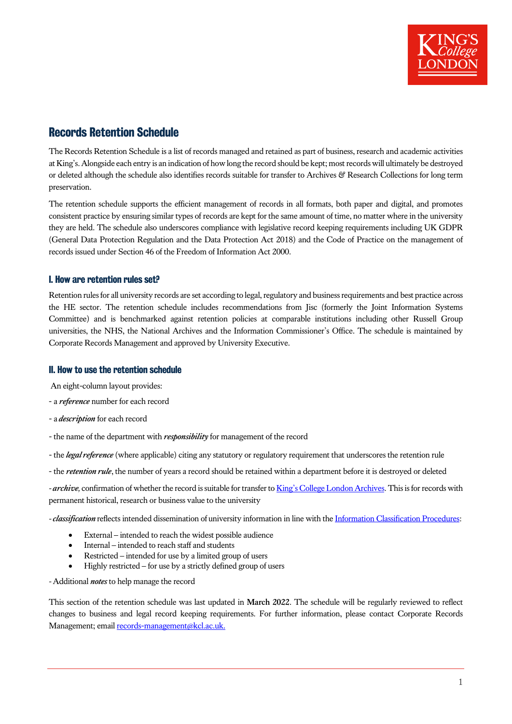

# Records Retention Schedule

The Records Retention Schedule is a list of records managed and retained as part of business, research and academic activities at King's. Alongside each entry is an indication of how long the record should be kept; most records will ultimately be destroyed or deleted although the schedule also identifies records suitable for transfer to Archives & Research Collections for long term preservation.

The retention schedule supports the efficient management of records in all formats, both paper and digital, and promotes consistent practice by ensuring similar types of records are kept for the same amount of time, no matter where in the university they are held. The schedule also underscores compliance with legislative record keeping requirements including UK GDPR (General Data Protection Regulation and the Data Protection Act 2018) and the Code of Practice on the management of records issued under Section 46 of the Freedom of Information Act 2000.

#### I. How are retention rules set?

Retention rules for all university records are set according to legal, regulatory and business requirements and best practice across the HE sector. The retention schedule includes recommendations from Jisc (formerly the Joint Information Systems Committee) and is benchmarked against retention policies at comparable institutions including other Russell Group universities, the NHS, the National Archives and the Information Commissioner's Office. The schedule is maintained by Corporate Records Management and approved by University Executive.

### II. How to use the retention schedule

An eight-column layout provides:

- a *reference* number for each record
- a *description* for each record
- the name of the department with *responsibility* for management of the record
- the *legal reference* (where applicable) citing any statutory or regulatory requirement that underscores the retention rule
- the *retention rule*, the number of years a record should be retained within a department before it is destroyed or deleted

*-archive,* confirmation of whether the record is suitable for transfer t[o King's College London Archives.](https://www.kcl.ac.uk/library/collections/archives) This is for records with permanent historical, research or business value to the university

*-classification*reflects intended dissemination of university information in line with th[e Information Classification Procedures:](https://www.kcl.ac.uk/governancezone/informationpolicies/records-management-policy)

- External intended to reach the widest possible audience
- Internal intended to reach staff and students
- Restricted intended for use by a limited group of users
- Highly restricted for use by a strictly defined group of users
- *-*Additional *notes* to help manage the record

This section of the retention schedule was last updated in **March 2022**. The schedule will be regularly reviewed to reflect changes to business and legal record keeping requirements. For further information, please contact Corporate Records Management; email [records-management@kcl.ac.uk.](mailto:records-management@kcl.ac.uk)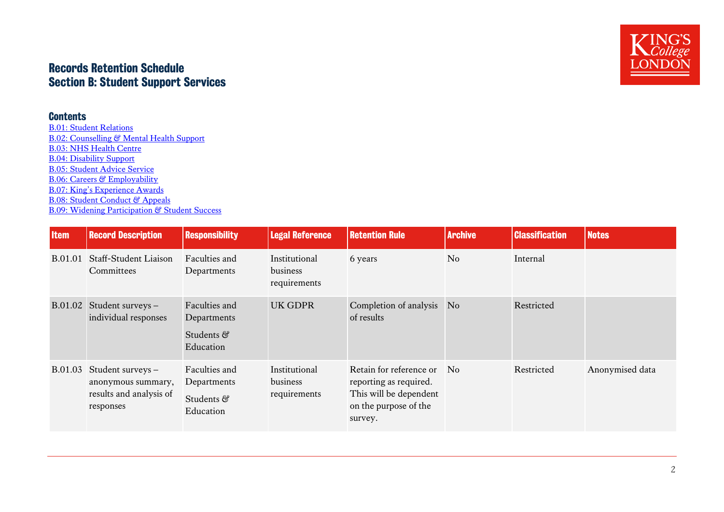# Records Retention Schedule Section B: Student Support Services

### **Contents**

[B.01: Student Relations](#page-1-0) [B.02: Counselling & Mental Health Support](#page-2-0) [B.03: NHS Health Centre](#page-3-0) [B.04: Disability Support](#page-3-1) [B.05: Student Advice Service](#page-4-0) [B.06: Careers & Employability](#page-4-1) [B.07: King's Experience Awards](#page-5-0) [B.08: Student Conduct](#page-6-0) & Appeals [B.09: Widening Participation](#page-9-0) & Student Success

<span id="page-1-0"></span>

| <b>Item</b> | <b>Record Description</b>                                                       | <b>Responsibility</b>                                   | <b>Legal Reference</b>                    | <b>Retention Rule</b>                                                                                           | <b>Archive</b> | <b>Classification</b> | <b>Notes</b>    |
|-------------|---------------------------------------------------------------------------------|---------------------------------------------------------|-------------------------------------------|-----------------------------------------------------------------------------------------------------------------|----------------|-----------------------|-----------------|
| B.01.01     | <b>Staff-Student Liaison</b><br>Committees                                      | Faculties and<br>Departments                            | Institutional<br>business<br>requirements | 6 years                                                                                                         | N <sub>0</sub> | Internal              |                 |
| B.01.02     | Student surveys -<br>individual responses                                       | Faculties and<br>Departments<br>Students &<br>Education | <b>UK GDPR</b>                            | Completion of analysis<br>of results                                                                            | N <sub>o</sub> | Restricted            |                 |
| B.01.03     | Student surveys -<br>anonymous summary,<br>results and analysis of<br>responses | Faculties and<br>Departments<br>Students &<br>Education | Institutional<br>business<br>requirements | Retain for reference or<br>reporting as required.<br>This will be dependent<br>on the purpose of the<br>survey. | No.            | Restricted            | Anonymised data |

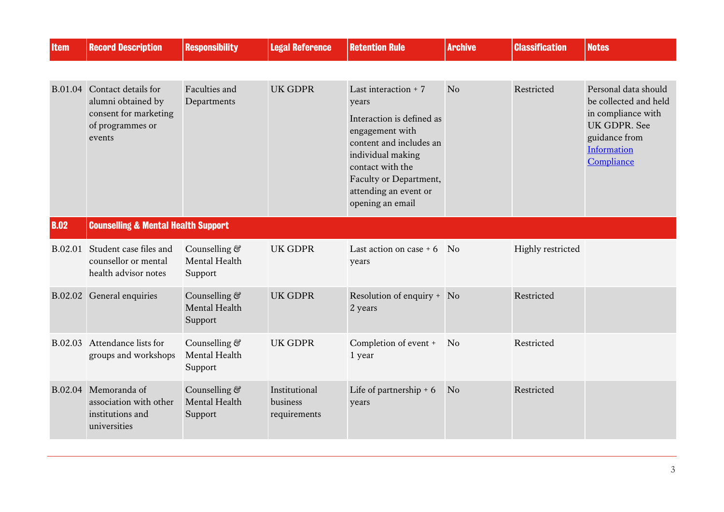<span id="page-2-0"></span>

| <b>Item</b> | <b>Record Description</b>                                                                        | <b>Responsibility</b>                     | <b>Legal Reference</b>                    | <b>Retention Rule</b>                                                                                                                                                                                                     | <b>Archive</b>              | <b>Classification</b> | <b>Notes</b>                                                                                                                      |
|-------------|--------------------------------------------------------------------------------------------------|-------------------------------------------|-------------------------------------------|---------------------------------------------------------------------------------------------------------------------------------------------------------------------------------------------------------------------------|-----------------------------|-----------------------|-----------------------------------------------------------------------------------------------------------------------------------|
|             |                                                                                                  |                                           |                                           |                                                                                                                                                                                                                           |                             |                       |                                                                                                                                   |
| B.01.04     | Contact details for<br>alumni obtained by<br>consent for marketing<br>of programmes or<br>events | Faculties and<br>Departments              | <b>UK GDPR</b>                            | Last interaction $+7$<br>years<br>Interaction is defined as<br>engagement with<br>content and includes an<br>individual making<br>contact with the<br>Faculty or Department,<br>attending an event or<br>opening an email | No                          | Restricted            | Personal data should<br>be collected and held<br>in compliance with<br>UK GDPR. See<br>guidance from<br>Information<br>Compliance |
| <b>B.02</b> | <b>Counselling &amp; Mental Health Support</b>                                                   |                                           |                                           |                                                                                                                                                                                                                           |                             |                       |                                                                                                                                   |
| B.02.01     | Student case files and<br>counsellor or mental<br>health advisor notes                           | Counselling &<br>Mental Health<br>Support | <b>UK GDPR</b>                            | Last action on case $+6$<br>years                                                                                                                                                                                         | $\overline{\phantom{a}}$ No | Highly restricted     |                                                                                                                                   |
| B.02.02     | General enquiries                                                                                | Counselling &<br>Mental Health<br>Support | <b>UK GDPR</b>                            | Resolution of enquiry + No<br>2 years                                                                                                                                                                                     |                             | Restricted            |                                                                                                                                   |
| B.02.03     | Attendance lists for<br>groups and workshops                                                     | Counselling &<br>Mental Health<br>Support | <b>UK GDPR</b>                            | Completion of event +<br>1 year                                                                                                                                                                                           | No                          | Restricted            |                                                                                                                                   |
| B.02.04     | Memoranda of<br>association with other<br>institutions and<br>universities                       | Counselling &<br>Mental Health<br>Support | Institutional<br>business<br>requirements | Life of partnership $+ 6$<br>years                                                                                                                                                                                        | N <sub>o</sub>              | Restricted            |                                                                                                                                   |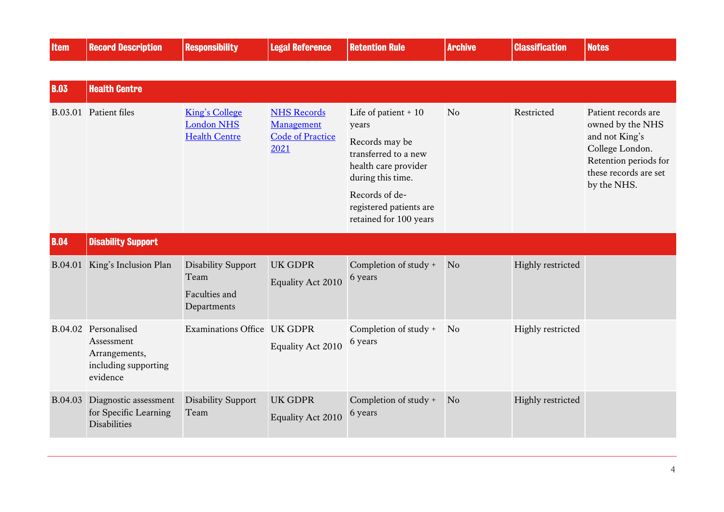<span id="page-3-1"></span><span id="page-3-0"></span>

| <b>Item</b> | <b>Record Description</b>                                                               | <b>Responsibility</b>                                              | <b>Legal Reference</b>                                              | <b>Retention Rule</b>                                                                                                                                                                       | <b>Archive</b> | <b>Classification</b> | <b>Notes</b>                                                                                                                                  |
|-------------|-----------------------------------------------------------------------------------------|--------------------------------------------------------------------|---------------------------------------------------------------------|---------------------------------------------------------------------------------------------------------------------------------------------------------------------------------------------|----------------|-----------------------|-----------------------------------------------------------------------------------------------------------------------------------------------|
|             |                                                                                         |                                                                    |                                                                     |                                                                                                                                                                                             |                |                       |                                                                                                                                               |
| <b>B.03</b> | <b>Health Centre</b>                                                                    |                                                                    |                                                                     |                                                                                                                                                                                             |                |                       |                                                                                                                                               |
|             | B.03.01 Patient files                                                                   | <b>King's College</b><br><b>London NHS</b><br><b>Health Centre</b> | <b>NHS Records</b><br>Management<br><b>Code of Practice</b><br>2021 | Life of patient + 10<br>years<br>Records may be<br>transferred to a new<br>health care provider<br>during this time.<br>Records of de-<br>registered patients are<br>retained for 100 years | No             | Restricted            | Patient records are<br>owned by the NHS<br>and not King's<br>College London.<br>Retention periods for<br>these records are set<br>by the NHS. |
| <b>B.04</b> | <b>Disability Support</b>                                                               |                                                                    |                                                                     |                                                                                                                                                                                             |                |                       |                                                                                                                                               |
| B.04.01     | King's Inclusion Plan                                                                   | <b>Disability Support</b><br>Team<br>Faculties and<br>Departments  | <b>UK GDPR</b><br><b>Equality Act 2010</b>                          | Completion of study +<br>6 years                                                                                                                                                            | N <sub>o</sub> | Highly restricted     |                                                                                                                                               |
|             | B.04.02 Personalised<br>Assessment<br>Arrangements,<br>including supporting<br>evidence | Examinations Office UK GDPR                                        | Equality Act 2010                                                   | Completion of study +<br>6 years                                                                                                                                                            | No             | Highly restricted     |                                                                                                                                               |
| B.04.03     | Diagnostic assessment<br>for Specific Learning<br><b>Disabilities</b>                   | <b>Disability Support</b><br>Team                                  | <b>UK GDPR</b><br><b>Equality Act 2010</b>                          | Completion of study +<br>6 years                                                                                                                                                            | N <sub>o</sub> | Highly restricted     |                                                                                                                                               |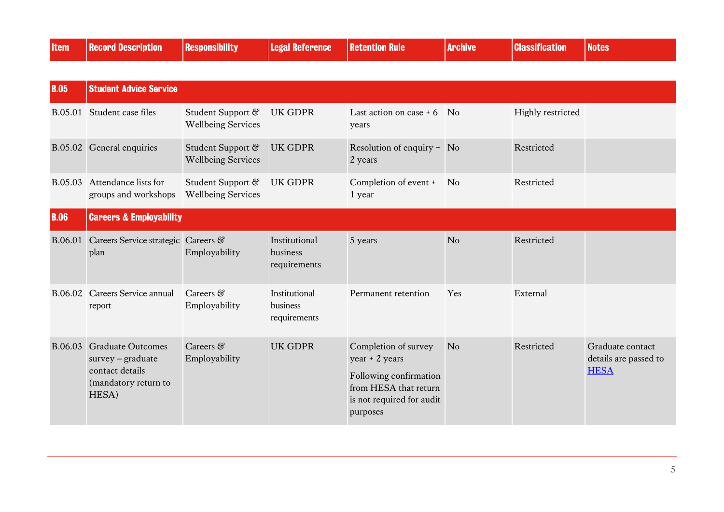<span id="page-4-1"></span><span id="page-4-0"></span>

| <b>Item</b> | <b>Record Description</b>                                                                             | <b>Responsibility</b>                          | <b>Legal Reference</b>                    | <b>Retention Rule</b>                                                                                                                | <b>Archive</b>              | <b>Classification</b> | <b>Notes</b>                                             |
|-------------|-------------------------------------------------------------------------------------------------------|------------------------------------------------|-------------------------------------------|--------------------------------------------------------------------------------------------------------------------------------------|-----------------------------|-----------------------|----------------------------------------------------------|
|             |                                                                                                       |                                                |                                           |                                                                                                                                      |                             |                       |                                                          |
| <b>B.05</b> | <b>Student Advice Service</b>                                                                         |                                                |                                           |                                                                                                                                      |                             |                       |                                                          |
| B.05.01     | Student case files                                                                                    | Student Support &<br><b>Wellbeing Services</b> | <b>UK GDPR</b>                            | Last action on case $+6$<br>years                                                                                                    | $\overline{\phantom{a}}$ No | Highly restricted     |                                                          |
|             | B.05.02 General enquiries                                                                             | Student Support &<br><b>Wellbeing Services</b> | <b>UK GDPR</b>                            | Resolution of enquiry + No<br>2 years                                                                                                |                             | Restricted            |                                                          |
| B.05.03     | Attendance lists for<br>groups and workshops                                                          | Student Support &<br><b>Wellbeing Services</b> | <b>UK GDPR</b>                            | Completion of event +<br>1 year                                                                                                      | <b>No</b>                   | Restricted            |                                                          |
| <b>B.06</b> | <b>Careers &amp; Employability</b>                                                                    |                                                |                                           |                                                                                                                                      |                             |                       |                                                          |
| B.06.01     | Careers Service strategic Careers &<br>plan                                                           | Employability                                  | Institutional<br>business<br>requirements | 5 years                                                                                                                              | No                          | Restricted            |                                                          |
|             | B.06.02 Careers Service annual<br>report                                                              | Careers &<br>Employability                     | Institutional<br>business<br>requirements | Permanent retention                                                                                                                  | Yes                         | External              |                                                          |
|             | B.06.03 Graduate Outcomes<br>$s$ urvey – graduate<br>contact details<br>(mandatory return to<br>HESA) | Careers &<br>Employability                     | <b>UK GDPR</b>                            | Completion of survey<br>$year + 2 years$<br>Following confirmation<br>from HESA that return<br>is not required for audit<br>purposes | N <sub>o</sub>              | Restricted            | Graduate contact<br>details are passed to<br><b>HESA</b> |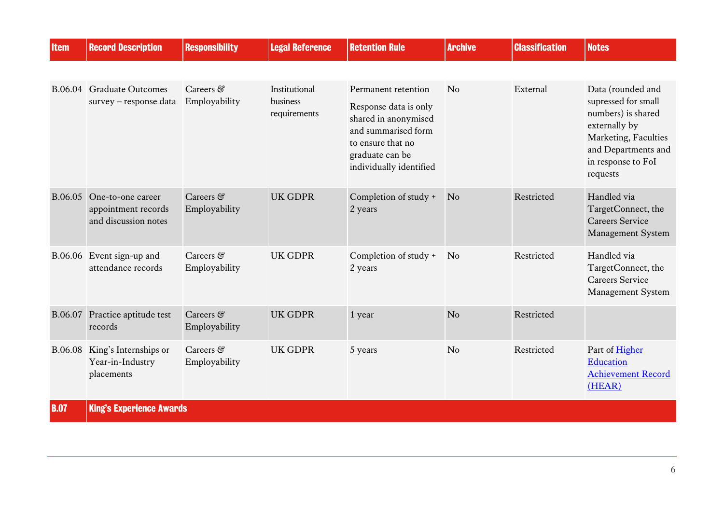<span id="page-5-0"></span>

| <b>Item</b> | <b>Record Description</b>                                        | <b>Responsibility</b>                     | <b>Legal Reference</b>                    | <b>Retention Rule</b>                                                                                                                                          | <b>Archive</b> | <b>Classification</b> | <b>Notes</b>                                                                                                                                                     |
|-------------|------------------------------------------------------------------|-------------------------------------------|-------------------------------------------|----------------------------------------------------------------------------------------------------------------------------------------------------------------|----------------|-----------------------|------------------------------------------------------------------------------------------------------------------------------------------------------------------|
|             |                                                                  |                                           |                                           |                                                                                                                                                                |                |                       |                                                                                                                                                                  |
| B.06.04     | <b>Graduate Outcomes</b><br>survey - response data               | $Careers \, \mathcal{C}$<br>Employability | Institutional<br>business<br>requirements | Permanent retention<br>Response data is only<br>shared in anonymised<br>and summarised form<br>to ensure that no<br>graduate can be<br>individually identified | No             | External              | Data (rounded and<br>supressed for small<br>numbers) is shared<br>externally by<br>Marketing, Faculties<br>and Departments and<br>in response to FoI<br>requests |
| B.06.05     | One-to-one career<br>appointment records<br>and discussion notes | Careers &<br>Employability                | <b>UK GDPR</b>                            | Completion of study +<br>2 years                                                                                                                               | N <sub>o</sub> | Restricted            | Handled via<br>TargetConnect, the<br><b>Careers Service</b><br>Management System                                                                                 |
| B.06.06     | Event sign-up and<br>attendance records                          | Careers &<br>Employability                | <b>UK GDPR</b>                            | Completion of study +<br>2 years                                                                                                                               | No             | Restricted            | Handled via<br>TargetConnect, the<br><b>Careers Service</b><br>Management System                                                                                 |
| B.06.07     | Practice aptitude test<br>records                                | Careers &<br>Employability                | <b>UK GDPR</b>                            | 1 year                                                                                                                                                         | N <sub>o</sub> | Restricted            |                                                                                                                                                                  |
| B.06.08     | King's Internships or<br>Year-in-Industry<br>placements          | Careers &<br>Employability                | <b>UK GDPR</b>                            | 5 years                                                                                                                                                        | N <sub>o</sub> | Restricted            | Part of Higher<br>Education<br><b>Achievement Record</b><br>(HEAR)                                                                                               |
| <b>B.07</b> | <b>King's Experience Awards</b>                                  |                                           |                                           |                                                                                                                                                                |                |                       |                                                                                                                                                                  |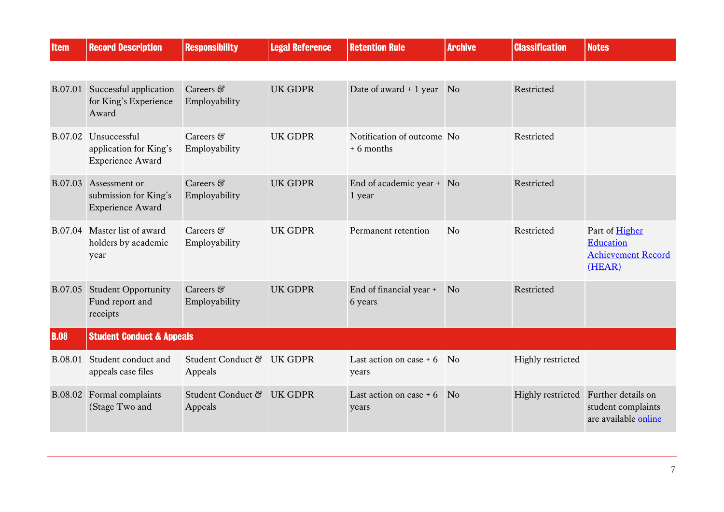<span id="page-6-0"></span>

| <b>Item</b> | <b>Record Description</b>                                         | <b>Responsibility</b>                | <b>Legal Reference</b> | <b>Retention Rule</b>                     | <b>Archive</b> | <b>Classification</b> | <b>Notes</b>                                                                       |
|-------------|-------------------------------------------------------------------|--------------------------------------|------------------------|-------------------------------------------|----------------|-----------------------|------------------------------------------------------------------------------------|
|             |                                                                   |                                      |                        |                                           |                |                       |                                                                                    |
|             | B.07.01 Successful application<br>for King's Experience<br>Award  | Careers &<br>Employability           | <b>UK GDPR</b>         | Date of award + 1 year No                 |                | Restricted            |                                                                                    |
| B.07.02     | Unsuccessful<br>application for King's<br><b>Experience Award</b> | Careers &<br>Employability           | <b>UK GDPR</b>         | Notification of outcome No<br>$+6$ months |                | Restricted            |                                                                                    |
| B.07.03     | Assessment or<br>submission for King's<br><b>Experience Award</b> | Careers &<br>Employability           | <b>UK GDPR</b>         | End of academic year + No<br>1 year       |                | Restricted            |                                                                                    |
| B.07.04     | Master list of award<br>holders by academic<br>year               | Careers &<br>Employability           | <b>UK GDPR</b>         | Permanent retention                       | No             | Restricted            | Part of Higher<br>Education<br><b>Achievement Record</b><br>(HEAR)                 |
| B.07.05     | <b>Student Opportunity</b><br>Fund report and<br>receipts         | Careers &<br>Employability           | <b>UK GDPR</b>         | End of financial year +<br>6 years        | N <sub>o</sub> | Restricted            |                                                                                    |
| <b>B.08</b> | <b>Student Conduct &amp; Appeals</b>                              |                                      |                        |                                           |                |                       |                                                                                    |
| B.08.01     | Student conduct and<br>appeals case files                         | Student Conduct & UK GDPR<br>Appeals |                        | Last action on case $+6$<br>years         | <b>No</b>      | Highly restricted     |                                                                                    |
| B.08.02     | Formal complaints<br>(Stage Two and                               | Student Conduct &<br>Appeals         | <b>UK GDPR</b>         | Last action on case $+6$<br>years         | N <sub>o</sub> |                       | Highly restricted Further details on<br>student complaints<br>are available online |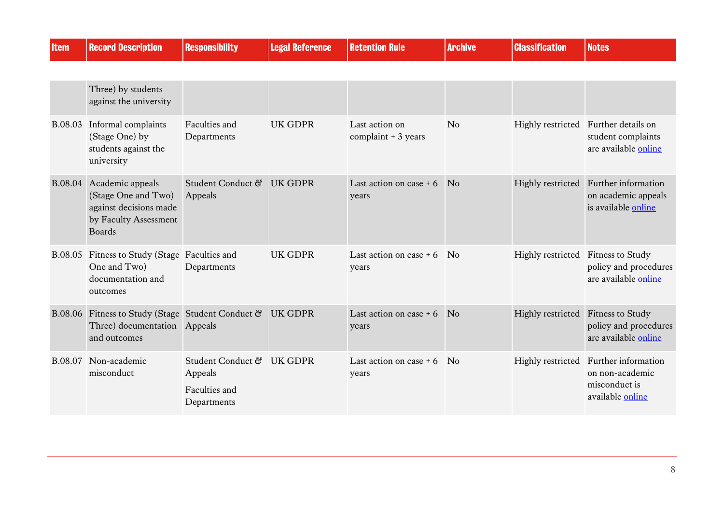| <b>Item</b> | <b>Record Description</b>                                                                                           | <b>Responsibility</b>                                                | <b>Legal Reference</b> | <b>Retention Rule</b>                  | <b>Archive</b> | <b>Classification</b>              | <b>Notes</b>                                                                        |
|-------------|---------------------------------------------------------------------------------------------------------------------|----------------------------------------------------------------------|------------------------|----------------------------------------|----------------|------------------------------------|-------------------------------------------------------------------------------------|
|             |                                                                                                                     |                                                                      |                        |                                        |                |                                    |                                                                                     |
|             | Three) by students<br>against the university                                                                        |                                                                      |                        |                                        |                |                                    |                                                                                     |
| B.08.03     | Informal complaints<br>(Stage One) by<br>students against the<br>university                                         | Faculties and<br>Departments                                         | <b>UK GDPR</b>         | Last action on<br>complaint $+3$ years | N <sub>o</sub> |                                    | Highly restricted Further details on<br>student complaints<br>are available online  |
|             | B.08.04 Academic appeals<br>(Stage One and Two)<br>against decisions made<br>by Faculty Assessment<br><b>Boards</b> | Student Conduct &<br>Appeals                                         | <b>UK GDPR</b>         | Last action on case $+6$<br>years      | N <sub>o</sub> |                                    | Highly restricted Further information<br>on academic appeals<br>is available online |
|             | B.08.05 Fitness to Study (Stage Faculties and<br>One and Two)<br>documentation and<br>outcomes                      | Departments                                                          | <b>UK GDPR</b>         | Last action on case $+6$<br>years      | N <sub>0</sub> | Highly restricted Fitness to Study | policy and procedures<br>are available online                                       |
|             | B.08.06 Fitness to Study (Stage Student Conduct &<br>Three) documentation Appeals<br>and outcomes                   |                                                                      | <b>UK GDPR</b>         | Last action on case $+6$<br>years      | N <sub>0</sub> | Highly restricted Fitness to Study | policy and procedures<br>are available online                                       |
| B.08.07     | Non-academic<br>misconduct                                                                                          | Student Conduct & UK GDPR<br>Appeals<br>Faculties and<br>Departments |                        | Last action on case $+6$<br>years      | N <sub>0</sub> | Highly restricted                  | Further information<br>on non-academic<br>misconduct is<br>available online         |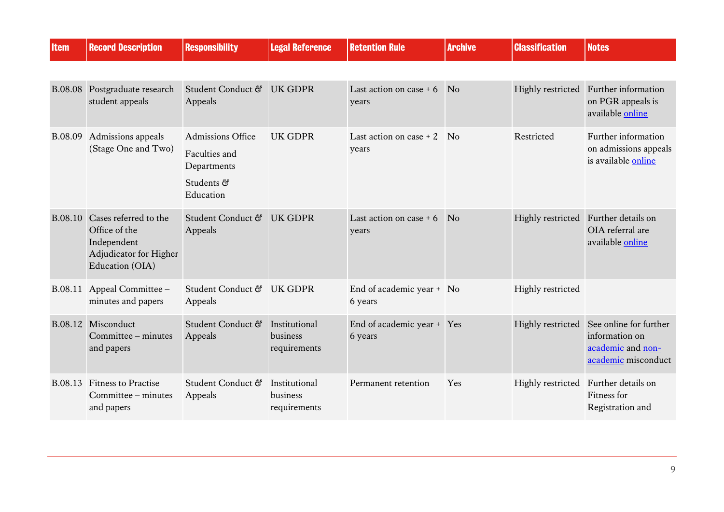| <b>Item</b>    | <b>Record Description</b>                                                                                  | <b>Responsibility</b>                                                        | <b>Legal Reference</b>                    | <b>Retention Rule</b>                | <b>Archive</b> | <b>Classification</b> | <b>Notes</b>                                                                         |
|----------------|------------------------------------------------------------------------------------------------------------|------------------------------------------------------------------------------|-------------------------------------------|--------------------------------------|----------------|-----------------------|--------------------------------------------------------------------------------------|
|                |                                                                                                            |                                                                              |                                           |                                      |                |                       |                                                                                      |
| <b>B.08.08</b> | Postgraduate research<br>student appeals                                                                   | Student Conduct &<br>Appeals                                                 | <b>UK GDPR</b>                            | Last action on case $+6$<br>years    | N <sub>o</sub> | Highly restricted     | Further information<br>on PGR appeals is<br>available online                         |
| B.08.09        | Admissions appeals<br>(Stage One and Two)                                                                  | Admissions Office<br>Faculties and<br>Departments<br>Students &<br>Education | <b>UK GDPR</b>                            | Last action on case $+2$<br>years    | $\overline{N}$ | Restricted            | Further information<br>on admissions appeals<br>is available online                  |
|                | B.08.10 Cases referred to the<br>Office of the<br>Independent<br>Adjudicator for Higher<br>Education (OIA) | Student Conduct &<br>Appeals                                                 | <b>UK GDPR</b>                            | Last action on case $+6$<br>years    | N <sub>0</sub> |                       | Highly restricted Further details on<br>OIA referral are<br>available online         |
| B.08.11        | Appeal Committee -<br>minutes and papers                                                                   | Student Conduct & UK GDPR<br>Appeals                                         |                                           | End of academic year + No<br>6 years |                | Highly restricted     |                                                                                      |
| B.08.12        | Misconduct<br>Committee – minutes<br>and papers                                                            | Student Conduct &<br>Appeals                                                 | Institutional<br>business<br>requirements | End of academic year +<br>6 years    | Yes            | Highly restricted     | See online for further<br>information on<br>academic and non-<br>academic misconduct |
| B.08.13        | <b>Fitness to Practise</b><br>Committee – minutes<br>and papers                                            | Student Conduct &<br>Appeals                                                 | Institutional<br>business<br>requirements | Permanent retention                  | Yes            |                       | Highly restricted Further details on<br>Fitness for<br>Registration and              |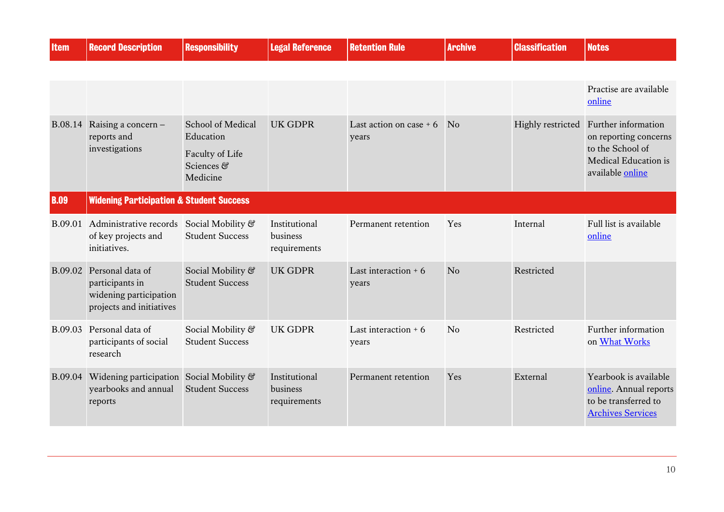<span id="page-9-0"></span>

| <b>Item</b> | <b>Record Description</b>                                                                 | <b>Responsibility</b>                       | <b>Legal Reference</b>                    | <b>Retention Rule</b>             | <b>Archive</b> | <b>Classification</b> | <b>Notes</b>                                                                                        |
|-------------|-------------------------------------------------------------------------------------------|---------------------------------------------|-------------------------------------------|-----------------------------------|----------------|-----------------------|-----------------------------------------------------------------------------------------------------|
|             |                                                                                           |                                             |                                           |                                   |                |                       |                                                                                                     |
|             |                                                                                           |                                             |                                           |                                   |                |                       | Practise are available<br>online                                                                    |
| B.08.14     | Raising a concern -<br>reports and                                                        | School of Medical<br>Education              | <b>UK GDPR</b>                            | Last action on case $+6$<br>years | No             |                       | Highly restricted Further information<br>on reporting concerns                                      |
|             | investigations                                                                            | Faculty of Life<br>Sciences &<br>Medicine   |                                           |                                   |                |                       | to the School of<br>Medical Education is<br>available online                                        |
| <b>B.09</b> | <b>Widening Participation &amp; Student Success</b>                                       |                                             |                                           |                                   |                |                       |                                                                                                     |
| B.09.01     | Administrative records<br>of key projects and<br>initiatives.                             | Social Mobility &<br><b>Student Success</b> | Institutional<br>business<br>requirements | Permanent retention               | Yes            | Internal              | Full list is available<br>online                                                                    |
| B.09.02     | Personal data of<br>participants in<br>widening participation<br>projects and initiatives | Social Mobility &<br><b>Student Success</b> | <b>UK GDPR</b>                            | Last interaction $+6$<br>years    | N <sub>o</sub> | Restricted            |                                                                                                     |
| B.09.03     | Personal data of<br>participants of social<br>research                                    | Social Mobility &<br><b>Student Success</b> | <b>UK GDPR</b>                            | Last interaction $+6$<br>years    | N <sub>o</sub> | Restricted            | Further information<br>on What Works                                                                |
| B.09.04     | Widening participation Social Mobility &<br>yearbooks and annual<br>reports               | <b>Student Success</b>                      | Institutional<br>business<br>requirements | Permanent retention               | Yes            | External              | Yearbook is available<br>online. Annual reports<br>to be transferred to<br><b>Archives Services</b> |